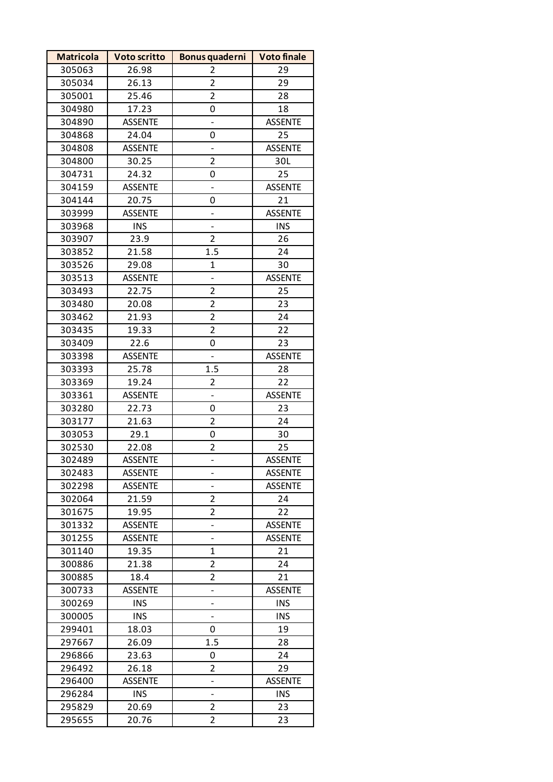| <b>Matricola</b> | <b>Voto scritto</b> | Bonus quaderni           | <b>Voto finale</b> |
|------------------|---------------------|--------------------------|--------------------|
| 305063           | 26.98               | $\overline{2}$           | 29                 |
| 305034           | 26.13               | $\overline{2}$           | 29                 |
| 305001           | 25.46               | $\overline{2}$           | 28                 |
| 304980           | 17.23               | 0                        | 18                 |
| 304890           | <b>ASSENTE</b>      |                          | <b>ASSENTE</b>     |
| 304868           | 24.04               | 0                        | 25                 |
| 304808           | <b>ASSENTE</b>      | $\overline{\phantom{0}}$ | <b>ASSENTE</b>     |
| 304800           | 30.25               | $\overline{2}$           | 30L                |
| 304731           | 24.32               | 0                        | 25                 |
| 304159           | <b>ASSENTE</b>      | $\overline{\phantom{0}}$ | <b>ASSENTE</b>     |
| 304144           | 20.75               | 0                        | 21                 |
| 303999           | <b>ASSENTE</b>      | -                        | <b>ASSENTE</b>     |
| 303968           | <b>INS</b>          | $\overline{\phantom{0}}$ | <b>INS</b>         |
| 303907           | 23.9                | $\overline{2}$           | 26                 |
| 303852           | 21.58               | 1.5                      | 24                 |
| 303526           | 29.08               | 1                        | 30                 |
| 303513           | <b>ASSENTE</b>      |                          | <b>ASSENTE</b>     |
| 303493           | 22.75               | $\overline{\mathbf{c}}$  | 25                 |
| 303480           | 20.08               | $\overline{2}$           | 23                 |
| 303462           | 21.93               | $\overline{2}$           | 24                 |
| 303435           | 19.33               | $\overline{c}$           | 22                 |
| 303409           | 22.6                | 0                        | 23                 |
| 303398           | <b>ASSENTE</b>      |                          | <b>ASSENTE</b>     |
| 303393           | 25.78               | 1.5                      | 28                 |
| 303369           | 19.24               | $\overline{2}$           | 22                 |
| 303361           | <b>ASSENTE</b>      |                          | <b>ASSENTE</b>     |
| 303280           | 22.73               | 0                        | 23                 |
| 303177           | 21.63               | $\overline{2}$           | 24                 |
| 303053           | 29.1                | 0                        | 30                 |
| 302530           | 22.08               | 2                        | 25                 |
| 302489           | <b>ASSENTE</b>      | $\overline{\phantom{0}}$ | <b>ASSENTE</b>     |
| 302483           | <b>ASSENTE</b>      |                          | <b>ASSENTE</b>     |
| 302298           | <b>ASSENTE</b>      |                          | <b>ASSENTE</b>     |
| 302064           | 21.59               | $\overline{2}$           | 24                 |
| 301675           | 19.95               | 2                        | 22                 |
| 301332           | <b>ASSENTE</b>      | -                        | <b>ASSENTE</b>     |
| 301255           | <b>ASSENTE</b>      | $\overline{\phantom{0}}$ | <b>ASSENTE</b>     |
| 301140           | 19.35               | 1                        | 21                 |
| 300886           | 21.38               | 2                        | 24                 |
| 300885           | 18.4                | $\overline{2}$           | 21                 |
| 300733           | <b>ASSENTE</b>      | -                        | <b>ASSENTE</b>     |
| 300269           | <b>INS</b>          | -                        | <b>INS</b>         |
| 300005           | <b>INS</b>          | $\overline{\phantom{0}}$ | <b>INS</b>         |
| 299401           | 18.03               | 0                        | 19                 |
| 297667           | 26.09               | 1.5                      | 28                 |
| 296866           | 23.63               | 0                        | 24                 |
| 296492           | 26.18               | $\overline{2}$           | 29                 |
| 296400           | <b>ASSENTE</b>      | -                        | <b>ASSENTE</b>     |
| 296284           | <b>INS</b>          | $\overline{\phantom{0}}$ | <b>INS</b>         |
| 295829           | 20.69               | $\overline{2}$           | 23                 |
| 295655           | 20.76               | 2                        | 23                 |